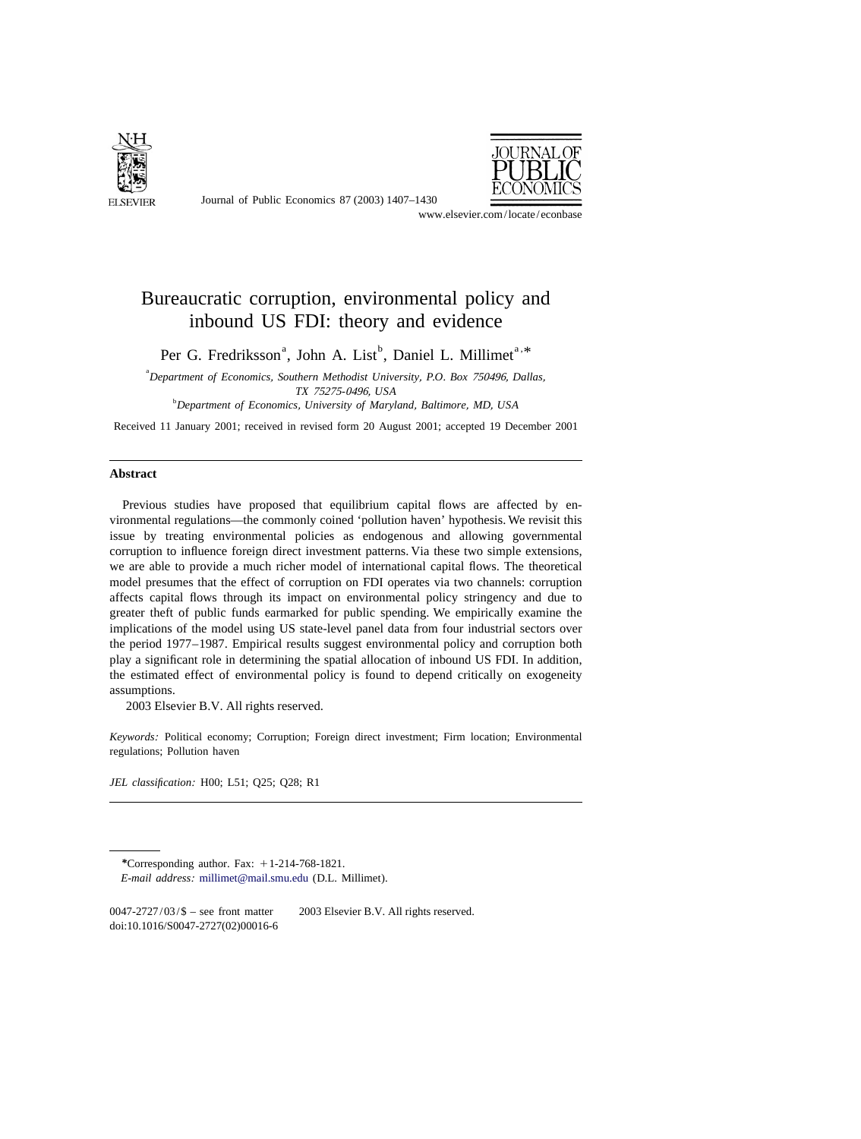

Journal of Public Economics 87 (2003) 1407–1430



www.elsevier.com/locate/econbase

## Bureaucratic corruption, environmental policy and inbound US FDI: theory and evidence

Per G. Fredriksson<sup>a</sup>, John A. List<sup>b</sup>, Daniel L. Millimet<sup>a,\*</sup>

a *Department of Economics*, *Southern Methodist University*, *P*.*O*. *Box* 750496, *Dallas*, *TX* <sup>75275</sup>-0496, *USA* b *Department of Economics*, *University of Maryland*, *Baltimore*, *MD*, *USA*

Received 11 January 2001; received in revised form 20 August 2001; accepted 19 December 2001

## **Abstract**

Previous studies have proposed that equilibrium capital flows are affected by environmental regulations—the commonly coined 'pollution haven' hypothesis. We revisit this issue by treating environmental policies as endogenous and allowing governmental corruption to influence foreign direct investment patterns. Via these two simple extensions, we are able to provide a much richer model of international capital flows. The theoretical model presumes that the effect of corruption on FDI operates via two channels: corruption affects capital flows through its impact on environmental policy stringency and due to greater theft of public funds earmarked for public spending. We empirically examine the implications of the model using US state-level panel data from four industrial sectors over the period 1977–1987. Empirical results suggest environmental policy and corruption both play a significant role in determining the spatial allocation of inbound US FDI. In addition, the estimated effect of environmental policy is found to depend critically on exogeneity assumptions.

2003 Elsevier B.V. All rights reserved.

*Keywords*: Political economy; Corruption; Foreign direct investment; Firm location; Environmental regulations; Pollution haven

*JEL classification*: H00; L51; Q25; Q28; R1

\*Corresponding author. Fax:  $+1-214-768-1821$ . *E*-*mail address*: [millimet@mail.smu.edu](mailto:millimet@mail.smu.edu) (D.L. Millimet).

 $0047-2727/03/\$$  – see front matter  $\degree$  2003 Elsevier B.V. All rights reserved. doi:10.1016/S0047-2727(02)00016-6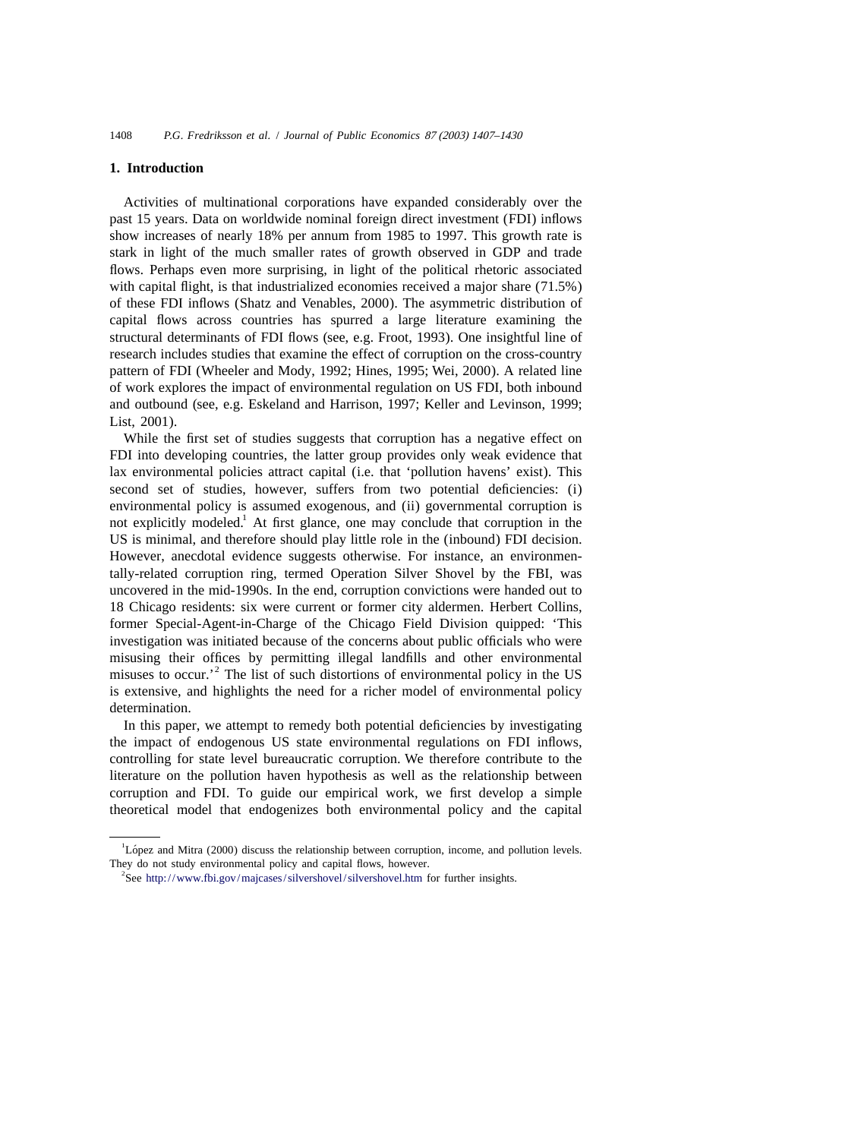## **1. Introduction**

Activities of multinational corporations have expanded considerably over the past 15 years. Data on worldwide nominal foreign direct investment (FDI) inflows show increases of nearly 18% per annum from 1985 to 1997. This growth rate is stark in light of the much smaller rates of growth observed in GDP and trade flows. Perhaps even more surprising, in light of the political rhetoric associated with capital flight, is that industrialized economies received a major share (71.5%) of these FDI inflows (Shatz and Venables, 2000). The asymmetric distribution of capital flows across countries has spurred a large literature examining the structural determinants of FDI flows (see, e.g. Froot, 1993). One insightful line of research includes studies that examine the effect of corruption on the cross-country pattern of FDI (Wheeler and Mody, 1992; Hines, 1995; Wei, 2000). A related line of work explores the impact of environmental regulation on US FDI, both inbound and outbound (see, e.g. Eskeland and Harrison, 1997; Keller and Levinson, 1999; List, 2001).

While the first set of studies suggests that corruption has a negative effect on FDI into developing countries, the latter group provides only weak evidence that lax environmental policies attract capital (i.e. that 'pollution havens' exist). This second set of studies, however, suffers from two potential deficiencies: (i) environmental policy is assumed exogenous, and (ii) governmental corruption is not explicitly modeled.<sup>1</sup> At first glance, one may conclude that corruption in the US is minimal, and therefore should play little role in the (inbound) FDI decision. However, anecdotal evidence suggests otherwise. For instance, an environmentally-related corruption ring, termed Operation Silver Shovel by the FBI, was uncovered in the mid-1990s. In the end, corruption convictions were handed out to 18 Chicago residents: six were current or former city aldermen. Herbert Collins, former Special-Agent-in-Charge of the Chicago Field Division quipped: 'This investigation was initiated because of the concerns about public officials who were misusing their offices by permitting illegal landfills and other environmental misuses to occur.'<sup>2</sup> The list of such distortions of environmental policy in the US is extensive, and highlights the need for a richer model of environmental policy determination.

In this paper, we attempt to remedy both potential deficiencies by investigating the impact of endogenous US state environmental regulations on FDI inflows, controlling for state level bureaucratic corruption. We therefore contribute to the literature on the pollution haven hypothesis as well as the relationship between corruption and FDI. To guide our empirical work, we first develop a simple theoretical model that endogenizes both environmental policy and the capital

<sup>&</sup>lt;sup>1</sup>López and Mitra (2000) discuss the relationship between corruption, income, and pollution levels. They do not study environmental policy and capital flows, however.

<sup>&</sup>lt;sup>2</sup>See <http://www.fbi.gov/majcases/silvershovel/silvershovel.htm> for further insights.